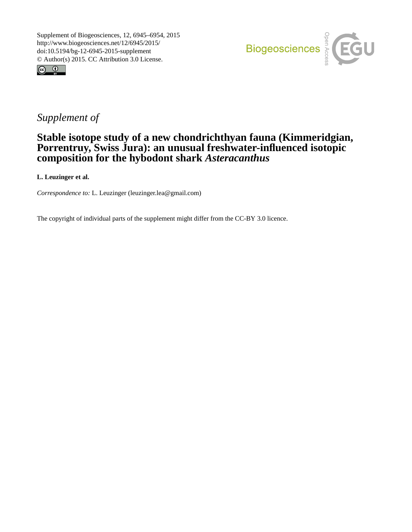



## *Supplement of*

## **Stable isotope study of a new chondrichthyan fauna (Kimmeridgian, Porrentruy, Swiss Jura): an unusual freshwater-influenced isotopic composition for the hybodont shark** *Asteracanthus*

**L. Leuzinger et al.**

*Correspondence to:* L. Leuzinger (leuzinger.lea@gmail.com)

The copyright of individual parts of the supplement might differ from the CC-BY 3.0 licence.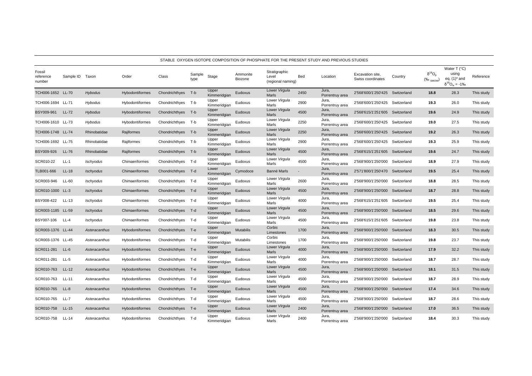|                               |              |                  |                 |                    |                |                       |                     |                                             |                          | STABLE_OXYGEN ISOTOPE COMPOSITION OF PHOSPHATE FOR THE PRESENT STUDY AND PREVIOUS STUDIES |                                       |             |                                                                                                                                                  |                                                                                  |            |
|-------------------------------|--------------|------------------|-----------------|--------------------|----------------|-----------------------|---------------------|---------------------------------------------|--------------------------|-------------------------------------------------------------------------------------------|---------------------------------------|-------------|--------------------------------------------------------------------------------------------------------------------------------------------------|----------------------------------------------------------------------------------|------------|
| Fossil<br>reference<br>number | Sample ID    | Taxon            | Order           | Class              | Sample<br>type | Stage                 | Ammonite<br>Biozone | Stratigraphic<br>Level<br>(regional naming) | Bed                      | Location                                                                                  | Excavation site,<br>Swiss coordinates | Country     | $\delta^{18}O_{\alpha}$<br>$(% \mathcal{L}_{0}^{\ast }\in \mathcal{L}_{0}^{\ast }(\mathcal{L}_{0})\cap \mathcal{L}_{0}^{\ast }(\mathcal{L}_{0})$ | Water $T$ ( $^{\circ}$ C)<br>using<br>eq. $(1)^*$ and<br>$\delta^{18}O_w = -1\%$ | Reference  |
| TCH006-1652 LL-70             |              | <b>Hybodus</b>   | Hybodontiformes | Chondrichthyes T-b |                | Upper<br>Kimmeridgian | Eudoxus             | Lower Virgula<br>Marls                      | 2450                     | Jura,<br>Porrentruy area                                                                  | 2'568'600/1'250'425 Switzerland       |             | 18.8                                                                                                                                             | 28.3                                                                             | This study |
| TCH006-1694 LL-71             |              | Hybodus          | Hybodontiformes | Chondrichthyes T-b |                | Upper<br>Kimmeridgian | Eudoxus             | Lower Virgula<br>Marls                      | 2900                     | Jura,<br>Porrentruy area                                                                  | 2'568'600/1'250'425 Switzerland       |             | 19.3                                                                                                                                             | 26.0                                                                             | This study |
| BSY009-961                    | <b>LL-72</b> | Hybodus          | Hybodontiformes | Chondrichthyes     | T-b            | Upper<br>Kimmeridgian | Eudoxus             | Lower Virgula<br>Marls                      | 4500                     | Jura,<br>Porrentruy area                                                                  | 2'568'615/1'251'605 Switzerland       |             | 19.6                                                                                                                                             | 24.9                                                                             | This study |
| TCH006-1610 LL-73             |              | Hybodus          | Hybodontiformes | Chondrichthyes     | T-b            | Upper<br>Kimmeridgian | Eudoxus             | Lower Virgula<br>Marls                      | 2250                     | Jura,<br>Porrentruy area                                                                  | 2'568'600/1'250'425                   | Switzerland | 19.0                                                                                                                                             | 27.5                                                                             | This study |
| TCH006-1748 LL-74             |              | Rhinobatidae     | Rajiformes      | Chondrichthyes     | T-b            | Upper<br>Kimmeridgian | Eudoxus             | Lower Virgula<br>Marls                      | 2250                     | Jura,<br>Porrentruy area                                                                  | 2'568'600/1'250'425 Switzerland       |             | 19.2                                                                                                                                             | 26.3                                                                             | This study |
| TCH006-1692 LL-75             |              | Rhinobatidae     | Rajiformes      | Chondrichthyes T-b |                | Upper<br>Kimmeridgian | Eudoxus             | Lower Virgula<br>Marls                      | 2900                     | Jura,<br>Porrentruy area                                                                  | 2'568'600/1'250'425 Switzerland       |             | 19.3                                                                                                                                             | 25.9                                                                             | This study |
| BSY009-926                    | LL-76        | Rhinobatidae     | Rajiformes      | Chondrichthyes     | T-b            | Upper<br>Kimmeridgian | Eudoxus             | Lower Virgula<br>Marls                      | 4500                     | Jura,<br>Porrentruy area                                                                  | 2'568'615/1'251'605 Switzerland       |             | 19.6                                                                                                                                             | 24.7                                                                             | This study |
| SCR010-22                     | $LL-1$       | Ischyodus        | Chimaeriformes  | Chondrichthyes     | T-d            | Upper<br>Kimmeridgian | Eudoxus             | Lower Virgula<br>Marls                      | 4500                     | Jura,<br>Porrentruy area                                                                  | 2'568'900/1'250'000                   | Switzerland | 18.9                                                                                                                                             | 27.9                                                                             | This study |
| TLB001-666                    | $LL-18$      | <b>Ischyodus</b> | Chimaeriformes  | Chondrichthyes     | $T-d$          | Lower<br>Kimmeridgian | Cymodoce            | Banné Marls                                 | $\overline{\phantom{a}}$ | Jura,<br>Porrentruy area                                                                  | 2'571'800/1'250'470 Switzerland       |             | 19.5                                                                                                                                             | 25.4                                                                             | This study |
| SCR003-946                    | LL-60        | Ischyodus        | Chimaeriformes  | Chondrichthyes T-d |                | Upper<br>Kimmeridgian | Eudoxus             | Lower Virgula<br>Marls                      | 2600                     | Jura,<br>Porrentruy area                                                                  | 2'568'900/1'250'000                   | Switzerland | 18.8                                                                                                                                             | 28.5                                                                             | This study |
| SCR010-1000 LL-3              |              | <b>Ischyodus</b> | Chimaeriformes  | Chondrichthyes T-d |                | Upper<br>Kimmeridgian | Eudoxus             | Lower Virgula<br>Marls                      | 4500                     | Jura,<br>Porrentruy area                                                                  | 2'568'900/1'250'000 Switzerland       |             | 18.7                                                                                                                                             | 28.8                                                                             | This study |
| BSY008-422                    | LL-13        | Ischyodus        | Chimaeriformes  | Chondrichthyes     | T-d            | Upper<br>Kimmeridgian | Eudoxus             | Lower Virgula<br>Marls                      | 4000                     | Jura,<br>Porrentruy area                                                                  | 2'568'615/1'251'605                   | Switzerland | 19.5                                                                                                                                             | 25.4                                                                             | This study |
| SCR003-1185 LL-59             |              | <b>Ischyodus</b> | Chimaeriformes  | Chondrichthyes     | T-d            | Upper<br>Kimmeridgian | Eudoxus             | Lower Virgula<br>Marls                      | 4500                     | Jura,<br>Porrentruy area                                                                  | 2'568'900/1'250'000                   | Switzerland | 18.5                                                                                                                                             | 29.6                                                                             | This study |
| BSY007-106                    | $LL-4$       | Ischyodus        | Chimaeriformes  | Chondrichthyes T-d |                | Upper<br>Kimmeridgian | Eudoxus             | Lower Virgula<br>Marls                      | 4500                     | Jura,<br>Porrentruy area                                                                  | 2'568'615/1'251'605 Switzerland       |             | 19.8                                                                                                                                             | 23.8                                                                             | This study |
| SCR003-1376 LL-44             |              | Asteracanthus    | Hybodontiformes | Chondrichthyes T-e |                | Upper<br>Kimmeridgian | <b>Mutabilis</b>    | Corbis<br>Limestones                        | 1700                     | Jura,<br>Porrentruy area                                                                  | 2'568'900/1'250'000 Switzerland       |             | 18.3                                                                                                                                             | 30.5                                                                             | This study |
| SCR003-1376 LL-45             |              | Asteracanthus    | Hybodontiformes | Chondrichthyes     | T-d            | Upper<br>Kimmeridgian | Mutabilis           | Corbis<br>Limestones                        | 1700                     | Jura,<br>Porrentruy area                                                                  | 2'568'900/1'250'000                   | Switzerland | 19.8                                                                                                                                             | 23.7                                                                             | This study |
| SCR011-281                    | $LL-6$       | Asteracanthus    | Hybodontiformes | Chondrichthyes     | T-e            | Upper<br>Kimmeridgian | Eudoxus             | Lower Virgula<br>Marls                      | 4000                     | Jura,<br>Porrentruy area                                                                  | 2'568'900/1'250'000                   | Switzerland | 17.9                                                                                                                                             | 32.2                                                                             | This study |
| SCR011-281                    | $LL-5$       | Asteracanthus    | Hybodontiformes | Chondrichthyes T-d |                | Upper<br>Kimmeridgian | Eudoxus             | Lower Virgula<br>Marls                      | 4000                     | Jura,<br>Porrentruy area                                                                  | 2'568'900/1'250'000                   | Switzerland | 18.7                                                                                                                                             | 28.7                                                                             | This study |
| SCR010-763                    | $LL-12$      | Asteracanthus    | Hybodontiformes | Chondrichthyes T-e |                | Upper<br>Kimmeridgian | Eudoxus             | Lower Virgula<br>Marls                      | 4500                     | Jura,<br>Porrentruy area                                                                  | 2'568'900/1'250'000 Switzerland       |             | 18.1                                                                                                                                             | 31.5                                                                             | This study |
| SCR010-763                    | LL-11        | Asteracanthus    | Hybodontiformes | Chondrichthyes     | T-d            | Upper<br>Kimmeridgian | Eudoxus             | Lower Virgula<br>Marls                      | 4500                     | Jura,<br>Porrentruy area                                                                  | 2'568'900/1'250'000                   | Switzerland | 18.7                                                                                                                                             | 28.9                                                                             | This study |
| SCR010-765                    | $LL-8$       | Asteracanthus    | Hybodontiformes | Chondrichthyes     | $T-e$          | Upper<br>Kimmeridgian | Eudoxus             | Lower Virgula<br>Marls                      | 4500                     | Jura,<br>Porrentruy area                                                                  | 2'568'900/1'250'000                   | Switzerland | 17.4                                                                                                                                             | 34.6                                                                             | This study |
| SCR010-765                    | <b>LL-7</b>  | Asteracanthus    | Hybodontiformes | Chondrichthyes     | T-d            | Upper<br>Kimmeridgian | Eudoxus             | Lower Virgula<br>Marls                      | 4500                     | Jura,<br>Porrentruy area                                                                  | 2'568'900/1'250'000                   | Switzerland | 18.7                                                                                                                                             | 28.6                                                                             | This study |
| SCR010-758                    | $LL-15$      | Asteracanthus    | Hybodontiformes | Chondrichthyes T-e |                | Upper<br>Kimmeridgian | Eudoxus             | Lower Virgula<br>Marls                      | 2400                     | Jura,<br>Porrentruy area                                                                  | 2'568'900/1'250'000 Switzerland       |             | 17.0                                                                                                                                             | 36.5                                                                             | This study |
| SCR010-758                    | LL-14        | Asteracanthus    | Hybodontiformes | Chondrichthyes T-d |                | Upper<br>Kimmeridgian | Eudoxus             | Lower Virgula<br>Marls                      | 2400                     | Jura,<br>Porrentruy area                                                                  | 2'568'900/1'250'000 Switzerland       |             | 18.4                                                                                                                                             | 30.3                                                                             | This study |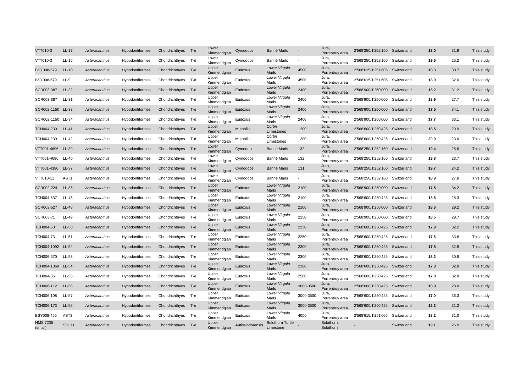| VTT010-3                   | LL-17            | Asteracanthus | Hybodontiformes        | Chondrichthyes T-e |       | Lower<br>Kimmeridgian | Cymodoce         | Banné Marls                   |                          | Jura,<br>Porrentruy area | 2'568'250/1'252'160 Switzerland |             | 18.0 | 31.9 | This study |
|----------------------------|------------------|---------------|------------------------|--------------------|-------|-----------------------|------------------|-------------------------------|--------------------------|--------------------------|---------------------------------|-------------|------|------|------------|
| VTT010-3                   | LL-16            | Asteracanthus | Hybodontiformes        | Chondrichthyes     | T-d   | Lower<br>Kimmeridgian | Cymodoce         | Banné Marls                   |                          | Jura,<br>Porrentruy area | 2'568'250/1'252'160             | Switzerland | 19.5 | 25.2 | This study |
| BSY008-579                 | $LL-10$          | Asteracanthus | Hybodontiformes        | Chondrichthyes T-e |       | Upper<br>Kimmeridgian | Eudoxus          | Lower Virgula<br>Marls        | 4500                     | Jura,<br>Porrentruy area | 2'568'615/1'251'605 Switzerland |             | 18.3 | 30.7 | This study |
| BSY008-579                 | $LL-9$           | Asteracanthus | Hybodontiformes        | Chondrichthyes T-d |       | Upper<br>Kimmeridgian | Eudoxus          | Lower Virgula<br>Marls        | 4500                     | Jura,<br>Porrentruy area | 2'568'615/1'251'605             | Switzerland | 18.0 | 32.0 | This study |
| SCR003-387                 | $LL-32$          | Asteracanthus | Hybodontiformes        | Chondrichthyes T-e |       | Upper<br>Kimmeridgian | Eudoxus          | Lower Virgula<br>Marls        | 2400                     | Jura,<br>Porrentruy area | 2'568'900/1'250'000 Switzerland |             | 18.2 | 31.2 | This study |
| SCR003-387                 | LL-31            | Asteracanthus | Hybodontiformes        | Chondrichthyes T-d |       | Upper<br>Kimmeridgian | Eudoxus          | Lower Virgula<br>Marls        | 2400                     | Jura,<br>Porrentruy area | 2'568'900/1'250'000             | Switzerland | 18.9 | 27.7 | This study |
| SCR002-1150 LL-33          |                  | Asteracanthus | Hybodontiformes        | Chondrichthyes T-e |       | Upper<br>Kimmeridgian | Eudoxus          | Lower Virgula<br>Marls        | 2400                     | Jura,<br>Porrentruy area | 2'568'900/1'250'000             | Switzerland | 17.5 | 34.1 | This study |
| SCR002-1150 LL-34          |                  | Asteracanthus | Hybodontiformes        | Chondrichthyes T-d |       | Upper<br>Kimmeridgian | Eudoxus          | Lower Virgula<br>Marls        | 2400                     | Jura,<br>Porrentruy area | 2'568'900/1'250'000             | Switzerland | 17.7 | 33.1 | This study |
| TCH004-239                 | LL-41            | Asteracanthus | <b>Hybodontiformes</b> | Chondrichthyes     | T-e   | Upper<br>Kimmeridgian | <b>Mutabilis</b> | Corbis<br>Limestones          | 1200                     | Jura,<br>Porrentruy area | 2'568'600/1'250'425             | Switzerland | 18.5 | 29.9 | This study |
| TCH004-239                 | LL-42            | Asteracanthus | Hybodontiformes        | Chondrichthyes T-d |       | Upper<br>Kimmeridgian | Mutabilis        | Corbis<br>Limestones          | 1200                     | Jura,<br>Porrentruy area | 2'568'600/1'250'425 Switzerland |             | 20.0 | 23.0 | This study |
| VTT001-4696                | LL-39            | Asteracanthus | Hybodontiformes        | Chondrichthyes T-e |       | Lower<br>Kimmeridgian | Cymodoce         | Banné Marls                   | 132                      | Jura,<br>Porrentruy area | 2'568'250/1'252'160             | Switzerland | 19.4 | 25.6 | This study |
| VTT001-4696 LL-40          |                  | Asteracanthus | Hybodontiformes        | Chondrichthyes T-d |       | Lower<br>Kimmeridgian | Cymodoce         | Banné Marls                   | 132                      | Jura.<br>Porrentruy area | 2'568'250/1'252'160             | Switzerland | 19.8 | 23.7 | This study |
| VTT001-4380                | LL-37            | Asteracanthus | <b>Hybodontiformes</b> | Chondrichthyes T-e |       | Lower<br>Kimmeridgian | Cymodoce         | Banné Marls                   | 131                      | Jura,<br>Porrentruy area | 2'568'250/1'252'160 Switzerland |             | 19.7 | 24.2 | This study |
| VTT010-11                  | AST <sub>1</sub> | Asteracanthus | Hybodontiformes        | Chondrichthyes     | т-е   | Lower<br>Kimmeridgian | Cymodoce         | Banné Marls                   | $\overline{\phantom{a}}$ | Jura,<br>Porrentruy area | 2'568'250/1'252'160             | Switzerland | 18.9 | 27.8 | This study |
| SCR002-224                 | LL-35            | Asteracanthus | Hybodontiformes        | Chondrichthyes T-e |       | Upper<br>Kimmeridgian | Eudoxus          | Lower Virgula<br>Marls        | 2100                     | Jura,<br>Porrentruy area | 2'568'900/1'250'000             | Switzerland | 17.5 | 34.2 | This study |
| TCH004-637                 | $LL-46$          | Asteracanthus | Hybodontiformes        | Chondrichthyes     | т-е   | Upper<br>Kimmeridgian | Eudoxus          | Lower Virgula<br>Marls        | 2100                     | Jura,<br>Porrentruy area | 2'568'600/1'250'425             | Switzerland | 18.8 | 28.3 | This study |
| SCR003-527                 | <b>LL-48</b>     | Asteracanthus | <b>Hybodontiformes</b> | Chondrichthyes T-e |       | Upper<br>Kimmeridgian | Eudoxus          | Lower Virgula<br>Marls        | 2100                     | Jura,<br>Porrentruy area | 2'568'900/1'250'000 Switzerland |             | 18.6 | 29.2 | This study |
| SCR003-71                  | LL-49            | Asteracanthus | Hybodontiformes        | Chondrichthyes T-e |       | Upper<br>Kimmeridgian | Eudoxus          | Lower Virgula<br>Marls        | 2250                     | Jura,<br>Porrentruy area | 2'568'900/1'250'000             | Switzerland | 18.5 | 29.7 | This study |
| TCH004-50                  | $LL-50$          | Asteracanthus | Hybodontiformes        | Chondrichthyes     | — Т-е | Upper<br>Kimmeridgian | Eudoxus          | Lower Virgula<br>Marls        | 2250                     | Jura,<br>Porrentruy area | 2'568'600/1'250'425             | Switzerland | 17.9 | 32.2 | This study |
| TCH004-73                  | LL-51            | Asteracanthus | Hybodontiformes        | Chondrichthyes T-e |       | Upper<br>Kimmeridgian | Eudoxus          | Lower Virgula<br>Marls        | 2250                     | Jura,<br>Porrentruy area | 2'568'600/1'250'425             | Switzerland | 17.6 | 33.6 | This study |
| TCH004-1092                | LL-52            | Asteracanthus | Hybodontiformes        | Chondrichthyes T-e |       | Upper<br>Kimmeridgian | Eudoxus          | Lower Virgula<br>Marls        | 2300                     | Jura,<br>Porrentruy area | 2'568'600/1'250'425 Switzerland |             | 17.8 | 32.8 | This study |
| TCH006-670                 | LL-53            | Asteracanthus | Hybodontiformes        | Chondrichthyes T-e |       | Upper<br>Kimmeridgian | Eudoxus          | Lower Virgula<br>Marls        | 2300                     | Jura.<br>Porrentruy area | 2'568'600/1'250'425             | Switzerland | 18.2 | 30.9 | This study |
| TCH004-1069                | LL-54            | Asteracanthus | <b>Hybodontiformes</b> | Chondrichthyes T-e |       | Upper<br>Kimmeridgian | Eudoxus          | Lower Virgula<br>Marls        | 2300                     | Jura,<br>Porrentruy area | 2'568'600/1'250'425 Switzerland |             | 17.8 | 32.8 | This study |
| TCH004-36                  | LL-55            | Asteracanthus | Hybodontiformes        | Chondrichthyes T-e |       | Upper<br>Kimmeridgian | Eudoxus          | Lower Virgula<br>Marls        | 2500                     | Jura,<br>Porrentruy area | 2'568'600/1'250'425             | Switzerland | 17.8 | 32.8 | This study |
| TCH006-112                 | LL-56            | Asteracanthus | Hybodontiformes        | Chondrichthyes     | T-e   | Upper<br>Kimmeridgian | Eudoxus          | Lower Virgula<br>Marls        | 3000-3500                | Jura,<br>Porrentruy area | 2'568'600/1'250'425             | Switzerland | 18.9 | 28.0 | This study |
| TCH006-108                 | LL-57            | Asteracanthus | Hybodontiformes        | Chondrichthyes T-e |       | Upper<br>Kimmeridgian | Eudoxus          | Lower Virgula<br>Marls        | 3000-3500                | Jura,<br>Porrentruy area | 2'568'600/1'250'425             | Switzerland | 17.0 | 36.3 | This study |
| TCH006-173                 | LL-58            | Asteracanthus | Hybodontiformes        | Chondrichthyes T-e |       | Upper<br>Kimmeridgian | Eudoxus          | Lower Virgula<br>Marls        | 3000-3500                | Jura,<br>Porrentruy area | 2'568'600/1'250'425 Switzerland |             | 18.2 | 31.2 | This study |
| BSY008-465                 | AST3             | Asteracanthus | Hybodontiformes        | Chondrichthyes     | Т-е   | Upper<br>Kimmeridgian | Eudoxus          | Lower Virgula<br>Marls        | 4000                     | Jura,<br>Porrentruy area | 2'568'615/1'251'605             | Switzerland | 18.2 | 31.0 | This study |
| <b>NMS 7235</b><br>(small) | SOLa1            | Asteracanthus | <b>Hybodontiformes</b> | Chondrichthyes T-e |       | Upper<br>Kimmeridgian | Autissiodorensis | Solothurn Turtle<br>Limestone |                          | Solothurn,<br>Solothurn  |                                 | Switzerland | 19.1 | 26.9 | This study |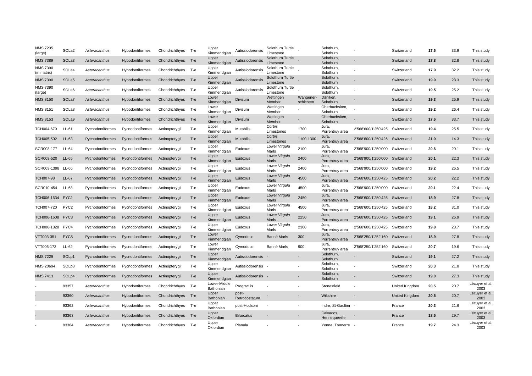| <b>NMS 7235</b><br>(large)     | SOLa2            | Asteracanthus    | Hybodontiformes        | Chondrichthyes     | т-е   | Upper<br>Kimmeridgian     | Autissiodorensis       | Solothurn Turtle<br>Limestone |                          | Solothurn,<br>Solothurn     |                                 | Switzerland           | 17.6 | 33.9 | This study             |
|--------------------------------|------------------|------------------|------------------------|--------------------|-------|---------------------------|------------------------|-------------------------------|--------------------------|-----------------------------|---------------------------------|-----------------------|------|------|------------------------|
| <b>NMS 7389</b>                | SOLa3            | Asteracanthus    | <b>Hybodontiformes</b> | Chondrichthyes     | T-e   | Upper<br>Kimmeridgian     | Autissiodorensis       | Solothurn Turtle<br>Limestone |                          | Solothurn,<br>Solothurn     |                                 | Switzerland           | 17.8 | 32.8 | This study             |
| <b>NMS 7390</b><br>(in matrix) | SOLa4            | Asteracanthus    | Hybodontiformes        | Chondrichthyes T-e |       | Upper<br>Kimmeridgian     | Autissiodorensis       | Solothurn Turtle<br>Limestone |                          | Solothurn,<br>Solothurn     |                                 | Switzerland           | 17.9 | 32.2 | This study             |
| <b>NMS 7390</b>                | SOLa5            | Asteracanthus    | Hybodontiformes        | Chondrichthyes T-e |       | Upper<br>Kimmeridgian     | Autissiodorensis       | Solothurn Turtle<br>Limestone |                          | Solothurn,<br>Solothurn     |                                 | Switzerland           | 19.9 | 23.3 | This study             |
| <b>NMS 7390</b><br>(large)     | SOLa6            | Asteracanthus    | Hybodontiformes        | Chondrichthyes T-e |       | Upper<br>Kimmeridgian     | Autissiodorensis       | Solothurn Turtle<br>Limestone |                          | Solothurn,<br>Solothurn     |                                 | Switzerland           | 19.5 | 25.2 | This study             |
| <b>NMS 8150</b>                | SOLa7            | Asteracanthus    | Hybodontiformes        | Chondrichthyes     | $T-e$ | Lower<br>Kimmeridgian     | Divisum                | Wettingen<br>Member           | Wangener-<br>schichten   | Däniken,<br>Solothurn       |                                 | Switzerland           | 19.3 | 25.9 | This study             |
| <b>NMS 8151</b>                | SOLa8            | Asteracanthus    | Hybodontiformes        | Chondrichthyes     | T-e   | Lower<br>Kimmeridgian     | Divisum                | Wettingen<br>Member           |                          | Oberbuchsiten,<br>Solothurn |                                 | Switzerland           | 19.2 | 26.4 | This study             |
| <b>NMS 8153</b>                | SOLa9            | Asteracanthus    | Hybodontiformes        | Chondrichthyes T-e |       | Lower<br>Kimmeridgian     | Divisum                | Wettingen<br>Member           |                          | Oberbuchsiten,<br>Solothurn |                                 | Switzerland           | 17.6 | 33.7 | This study             |
| TCH004-679                     | LL-61            | Pycnodontiformes | Pycnodontiformes       | Actinopterygii     | T-e   | Upper<br>Kimmeridgian     | Mutabilis              | Corbis<br>Limestones          | 1700                     | Jura,<br>Porrentruy area    | 2'568'600/1'250'425             | Switzerland           | 19.4 | 25.5 | This study             |
| TCH005-502                     | $LL-63$          | Pycnodontiformes | Pycnodontiformes       | Actinopterygii     | $T-e$ | Upper<br>Kimmeridgian     | <b>Mutabilis</b>       | Corbis<br>Limestones          | 1100-1300                | Jura,<br>Porrentruy area    | 2'568'600/1'250'425 Switzerland |                       | 21.9 | 14.3 | This study             |
| SCR003-177                     | $LL-64$          | Pycnodontiformes | Pycnodontiformes       | Actinopterygii     | T-e   | Upper<br>Kimmeridgian     | Eudoxus                | Lower Virgula<br>Marls        | 2100                     | Jura,<br>Porrentruy area    | 2'568'900/1'250'000             | Switzerland           | 20.6 | 20.1 | This study             |
| SCR003-520                     | $LL-65$          | Pycnodontiformes | Pycnodontiformes       | Actinopterygii     | T-e   | Upper<br>Kimmeridgian     | Eudoxus                | Lower Virgula<br>Marls        | 2400                     | Jura,<br>Porrentruy area    | 2'568'900/1'250'000 Switzerland |                       | 20.1 | 22.3 | This study             |
| SCR003-1398                    | LL-66            | Pycnodontiformes | Pycnodontiformes       | Actinopterygii     | T-e   | Upper<br>Kimmeridgian     | Eudoxus                | Lower Virgula<br>Marls        | 2400                     | Jura,<br>Porrentruy area    | 2'568'900/1'250'000             | Switzerland           | 19.2 | 26.5 | This study             |
| <b>TCH007-98</b>               | $LL-67$          | Pycnodontiformes | Pycnodontiformes       | Actinopterygii     | $T-e$ | Upper<br>Kimmeridgian     | Eudoxus                | Lower Virgula<br>Marls        | 4500                     | Jura,<br>Porrentruy area    | 2'568'600/1'250'425             | Switzerland           | 20.2 | 22.2 | This study             |
| SCR010-454                     | LL-68            | Pycnodontiformes | Pycnodontiformes       | Actinopterygii     | T-e   | Upper<br>Kimmeridgian     | Eudoxus                | Lower Virgula<br>Marls        | 4500                     | Jura,<br>Porrentruy area    | 2'568'900/1'250'000             | Switzerland           | 20.1 | 22.4 | This study             |
| TCH006-1634                    | PYC <sub>1</sub> | Pycnodontiformes | Pycnodontiformes       | Actinopterygii     | T-e   | Upper<br>Kimmeridgian     | Eudoxus                | Lower Virgula<br>Marls        | 2450                     | Jura,<br>Porrentruy area    | 2'568'600/1'250'425             | Switzerland           | 18.9 | 27.8 | This study             |
| TCH007-720                     | PYC <sub>2</sub> | Pycnodontiformes | Pycnodontiformes       | Actinopterygii     | Т-е   | Upper<br>Kimmeridgian     | Eudoxus                | Lower Virgula<br>Marls        | 4500                     | Jura,<br>Porrentruy area    | 2'568'600/1'250'425             | Switzerland           | 18.2 | 31.0 | This study             |
| TCH006-1608                    | PYC3             | Pycnodontiformes | Pycnodontiformes       | Actinopterygii     | $T-e$ | Upper<br>Kimmeridgian     | Eudoxus                | Lower Virgula<br>Marls        | 2250                     | Jura,<br>Porrentruy area    | 2'568'600/1'250'425             | Switzerland           | 19.1 | 26.9 | This study             |
| TCH006-1828                    | PYC4             | Pycnodontiformes | Pycnodontiformes       | Actinopterygii     | T-e   | Upper<br>Kimmeridgian     | Eudoxus                | Lower Virgula<br>Marls        | 2300                     | Jura,<br>Porrentruy area    | 2'568'600/1'250'425             | Switzerland           | 19.8 | 23.7 | This study             |
| VTT003-351                     | PYC <sub>5</sub> | Pycnodontiformes | Pycnodontiformes       | Actinopterygii     | $T-e$ | Lower<br>Kimmeridgian     | Cymodoce               | Banné Marls                   | 300                      | Jura,<br>Porrentruy area    | 2'568'250/1'252'160             | Switzerland           | 18.9 | 27.8 | This study             |
| VTT006-173                     | LL-62            | Pycnodontiformes | Pycnodontiformes       | Actinopterygii     | T-e   | Lower<br>Kimmeridgian     | Cymodoce               | Banné Marls                   | 900                      | Jura.<br>Porrentruy area    | 2'568'250/1'252'160             | Switzerland           | 20.7 | 19.6 | This study             |
| <b>NMS 7229</b>                | SOLp1            | Pycnodontiformes | Pycnodontiformes       | Actinopterygii     | $T-e$ | Upper<br>Kimmeridgian     | Autissiodorensis       |                               | $\overline{\phantom{a}}$ | Solothurn,<br>Solothurn     |                                 | Switzerland           | 19.1 | 27.2 | This study             |
| NMS 20694                      | SOLp3            | Pycnodontiformes | Pycnodontiformes       | Actinopterygii     | T-e   | Upper<br>Kimmeridgian     | Autissiodorensis       |                               |                          | Solothurn,<br>Solothurn     |                                 | Switzerland           | 20.3 | 21.8 | This study             |
| <b>NMS 7413</b>                | SOLp4            | Pycnodontiformes | Pycnodontiformes       | Actinopterygii     | $T-e$ | Upper<br>Kimmeridgian     | Autissiodorensis -     |                               |                          | Solothurn,<br>Solothurn     |                                 | Switzerland           | 19.0 | 27.3 | This study             |
|                                | 93357            | Asteracanthus    | Hybodontiformes        | Chondrichthyes     | Т-е   | Lower-Middle<br>Bathonian | Progracilis            |                               |                          | Stonesfield                 | ٠                               | United Kingdom        | 20.5 | 20.7 | Lécuyer et al.<br>2003 |
|                                | 93360            | Asteracanthus    | <b>Hybodontiformes</b> | Chondrichthyes     | T-e   | Upper<br>Bathonian        | post-<br>Retrocostatum |                               |                          | Wiltshire                   |                                 | <b>United Kingdom</b> | 20.5 | 20.7 | Lécuyer et al.<br>2003 |
|                                | 93362            | Asteracanthus    | Hybodontiformes        | Chondrichthyes     | T-e   | Upper<br>Bathonian        | post-Hodsoni           |                               |                          | Indre, St-Gaultier          | $\overline{\phantom{a}}$        | France                | 20.3 | 21.6 | Lécuyer et al.<br>2003 |
|                                | 93363            | Asteracanthus    | Hybodontiformes        | Chondrichthyes     | T-e   | Upper<br>Oxfordian        | <b>Bifurcatus</b>      |                               |                          | Calvados.<br>Hennequeville  |                                 | France                | 18.5 | 29.7 | Lécuyer et al.<br>2003 |
|                                | 93364            | Asteracanthus    | Hybodontiformes        | Chondrichthyes T-e |       | Upper<br>Oxfordian        | Planula                |                               |                          | Yonne, Tonnerre             |                                 | France                | 19.7 | 24.3 | Lécuyer et al.<br>2003 |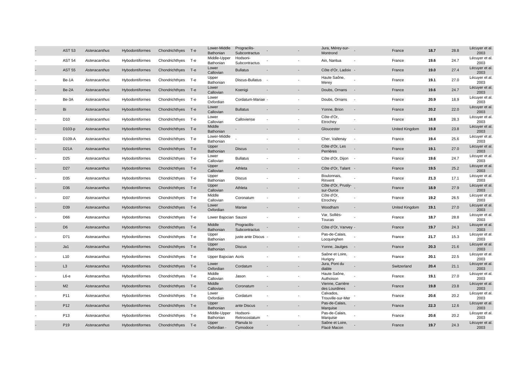| <b>AST 54</b><br>Asteracanthus<br><b>AST 55</b><br>Asteracanthus<br>Be-1A<br>Asteracanthus<br>Be-2A<br>Asteracanthus<br>Be-3A<br>Asteracanthus<br>Bi<br>Asteracanthus | Hybodontiformes<br><b>Hybodontiformes</b><br>Hybodontiformes<br>Hybodontiformes<br>Hybodontiformes<br>Hybodontiformes<br>Hybodontiformes | Chondrichthyes T-e<br>Chondrichthyes T-e<br>Chondrichthyes T-e<br>Chondrichthyes T-e<br>Chondrichthyes T-e<br>Chondrichthyes T-e |       | Middle-Upper<br>Bathonian<br>Lower<br>Callovian<br>Upper<br>Bathonian<br>Lower<br>Callovian | Hodsoni-<br>Subcontractus<br><b>Bullatus</b><br>Discus-Bullatus | $\overline{\phantom{a}}$ | Ain, Nantua<br>Côte d'Or, Ladoix - |                          | France<br>France | 19.6<br>19.0 | 24.7<br>27.4 | Lécuyer et al.<br>2003<br>Lécuyer et al. |
|-----------------------------------------------------------------------------------------------------------------------------------------------------------------------|------------------------------------------------------------------------------------------------------------------------------------------|----------------------------------------------------------------------------------------------------------------------------------|-------|---------------------------------------------------------------------------------------------|-----------------------------------------------------------------|--------------------------|------------------------------------|--------------------------|------------------|--------------|--------------|------------------------------------------|
|                                                                                                                                                                       |                                                                                                                                          |                                                                                                                                  |       |                                                                                             |                                                                 |                          |                                    |                          |                  |              |              |                                          |
|                                                                                                                                                                       |                                                                                                                                          |                                                                                                                                  |       |                                                                                             |                                                                 |                          |                                    |                          |                  |              |              | 2003                                     |
|                                                                                                                                                                       |                                                                                                                                          |                                                                                                                                  |       |                                                                                             |                                                                 |                          | Haute Saône,<br>Merey              |                          | France           | 19.1         | 27.0         | Lécuyer et al.<br>2003                   |
|                                                                                                                                                                       |                                                                                                                                          |                                                                                                                                  |       |                                                                                             | Koenigi                                                         |                          | Doubs, Ornans                      |                          | France           | 19.6         | 24.7         | Lécuyer et al.<br>2003                   |
|                                                                                                                                                                       |                                                                                                                                          |                                                                                                                                  |       | Lower<br>Oxfordian                                                                          | Cordatum-Mariae -                                               |                          | Doubs, Ornans                      |                          | France           | 20.9         | 18.9         | Lécuyer et al.<br>2003                   |
|                                                                                                                                                                       |                                                                                                                                          |                                                                                                                                  |       | Lower<br>Callovian                                                                          | <b>Bullatus</b>                                                 |                          | Yonne, Brion                       |                          | France           | 20.2         | 22.0         | Lécuyer et al.<br>2003                   |
| D <sub>10</sub><br>Asteracanthus                                                                                                                                      |                                                                                                                                          | Chondrichthyes T-e                                                                                                               |       | Lower<br>Callovian                                                                          | Calloviense                                                     |                          | Côte d'Or,<br>Etrochey             |                          | France           | 18.8         | 28.3         | Lécuyer et al.<br>2003                   |
| D103-p<br>Asteracanthus                                                                                                                                               | Hybodontiformes                                                                                                                          | Chondrichthyes T-e                                                                                                               |       | Middle<br>Bathonian                                                                         |                                                                 |                          | Gloucester                         |                          | United Kingdom   | 19.8         | 23.8         | Lécuyer et al.<br>2003                   |
| D109-A<br>Asteracanthus                                                                                                                                               | Hybodontiformes                                                                                                                          | Chondrichthyes T-e                                                                                                               |       | Lower-Middle<br>Bathonian                                                                   |                                                                 |                          | Cher, Vallenay                     | $\overline{\phantom{a}}$ | France           | 19.4         | 25.6         | Lécuyer et al.<br>2003                   |
| <b>D21A</b><br>Asteracanthus                                                                                                                                          | Hybodontiformes                                                                                                                          | Chondrichthyes T-e                                                                                                               |       | Upper<br>Bathonian                                                                          | <b>Discus</b>                                                   |                          | Côte d'Or, Les<br>Perrières        |                          | France           | 19.1         | 27.0         | Lécuyer et al.<br>2003                   |
| D <sub>25</sub><br>Asteracanthus                                                                                                                                      | Hybodontiformes                                                                                                                          | Chondrichthyes T-e                                                                                                               |       | Lower<br>Callovian                                                                          | <b>Bullatus</b>                                                 |                          | Côte d'Or, Dijon                   |                          | France           | 19.6         | 24.7         | Lécuyer et al.<br>2003                   |
| D <sub>27</sub><br>Asteracanthus                                                                                                                                      | Hybodontiformes                                                                                                                          | Chondrichthyes T-e                                                                                                               |       | Upper<br>Callovian                                                                          | Athleta                                                         |                          | Côte d'Or, Talant -                |                          | France           | 19.5         | 25.2         | Lécuyer et al.<br>2003                   |
| D35<br>Asteracanthus                                                                                                                                                  | Hybodontiformes                                                                                                                          | Chondrichthyes T-e                                                                                                               |       | Upper<br>Bathonian                                                                          | <b>Discus</b>                                                   |                          | Boulonnais,<br>Rinxent             |                          | France           | 21.3         | 17.1         | Lécuyer et al.<br>2003                   |
| D36<br>Asteracanthus                                                                                                                                                  | Hybodontiformes                                                                                                                          | Chondrichthyes T-e                                                                                                               |       | Upper<br>Callovian                                                                          | Athleta                                                         |                          | Côte d'Or, Prusly-<br>sur-Ource    |                          | France           | 18.9         | 27.9         | Lécuyer et al.<br>2003                   |
| D37<br>Asteracanthus                                                                                                                                                  | Hybodontiformes                                                                                                                          | Chondrichthyes T-e                                                                                                               |       | Middle<br>Callovian                                                                         | Coronatum                                                       |                          | Côte d'Or,<br>Etrochey             |                          | France           | 19.2         | 26.5         | Lécuyer et al.<br>2003                   |
| D39<br>Asteracanthus                                                                                                                                                  | Hybodontiformes                                                                                                                          | Chondrichthyes T-e                                                                                                               |       | Lower<br>Oxfordian                                                                          | Mariae                                                          | $\overline{\phantom{a}}$ | Woodham                            |                          | United Kingdom   | 19.1         | 27.0         | Lécuyer et al.<br>2003                   |
| D66<br>Asteracanthus                                                                                                                                                  | Hybodontiformes                                                                                                                          | Chondrichthyes T-e                                                                                                               |       | Lower Bajocian Sauzei                                                                       |                                                                 |                          | Var, Solliès-<br>Toucas            |                          | France           | 18.7         | 28.8         | Lécuyer et al.<br>2003                   |
| D <sub>6</sub><br>Asteracanthus                                                                                                                                       | Hybodontiformes                                                                                                                          | Chondrichthyes                                                                                                                   | — Т-е | Middle<br>Bathonian                                                                         | Progracilis-<br>Subcontractus                                   |                          | Côte d'Or, Vanvey -                |                          | France           | 19.7         | 24.3         | Lécuyer et al.<br>2003                   |
| D71<br>Asteracanthus                                                                                                                                                  | Hybodontiformes                                                                                                                          | Chondrichthyes T-e                                                                                                               |       | Upper<br>Bathonian                                                                          | juste ante Discus -                                             |                          | Pas-de-Calais,<br>Locquinghen      |                          | France           | 21.7         | 15.3         | Lécuyer et al.<br>2003                   |
| Ja1<br>Asteracanthus                                                                                                                                                  | Hybodontiformes                                                                                                                          | Chondrichthyes T-e                                                                                                               |       | Upper<br>Bathonian                                                                          | <b>Discus</b>                                                   |                          | Yonne, Jaulges                     | $\sim$                   | France           | 20.3         | 21.6         | Lécuyer et al.<br>2003                   |
| L10<br>Asteracanthus                                                                                                                                                  | Hybodontiformes                                                                                                                          | Chondrichthyes T-e                                                                                                               |       | Upper Bajocian Acris                                                                        |                                                                 |                          | Saône et Loire,<br>Hurigny         |                          | France           | 20.1         | 22.5         | Lécuyer et al.<br>2003                   |
| L3<br>Asteracanthus                                                                                                                                                   | Hybodontiformes                                                                                                                          | Chondrichthyes T-e                                                                                                               |       | Lower<br>Oxfordian                                                                          | Cordatum                                                        |                          | Jura, Pont du<br>diable            |                          | Switzerland      | 20.4         | 21.1         | Lécuyer et al.<br>2003                   |
| $L6-e$<br>Asteracanthus                                                                                                                                               | Hybodontiformes                                                                                                                          | Chondrichthyes T-e                                                                                                               |       | Middle<br>Callovian                                                                         | Jason                                                           |                          | Haute Saône,<br>Authoison          |                          | France           | 19.1         | 27.0         | Lécuyer et al.<br>2003                   |
| M <sub>2</sub><br>Asteracanthus                                                                                                                                       | <b>Hybodontiformes</b>                                                                                                                   | Chondrichthyes T-e                                                                                                               |       | Middle<br>Callovian                                                                         | Coronatum                                                       |                          | Vienne, Carrière<br>des Lourdines  |                          | France           | 19.8         | 23.8         | Lécuyer et al.<br>2003                   |
| P11<br>Asteracanthus                                                                                                                                                  | Hybodontiformes                                                                                                                          | Chondrichthyes T-e                                                                                                               |       | Lower<br>Oxfordian                                                                          | Cordatum                                                        |                          | Calvados,<br>Trouville-sur-Mer     |                          | France           | 20.6         | 20.2         | Lécuyer et al.<br>2003                   |
| P <sub>12</sub><br>Asteracanthus                                                                                                                                      | Hybodontiformes                                                                                                                          | Chondrichthyes T-e                                                                                                               |       | Upper<br>Bathonian                                                                          | ante Discus                                                     |                          | Pas-de-Calais,<br>Marquise         |                          | France           | 22.3         | 12.6         | Lécuyer et al.<br>2003                   |
| P <sub>13</sub><br>Asteracanthus                                                                                                                                      | Hybodontiformes                                                                                                                          | Chondrichthyes                                                                                                                   | т-е   | Middle-Upper<br>Bathonian                                                                   | Hodsoni-<br>Retrocostatum                                       |                          | Pas-de-Calais,<br>Marquise         |                          | France           | 20.6         | 20.2         | Lécuyer et al.<br>2003                   |
| P <sub>19</sub><br>Asteracanthus<br><b>Hybodontiformes</b>                                                                                                            |                                                                                                                                          |                                                                                                                                  |       |                                                                                             |                                                                 |                          |                                    |                          |                  |              |              |                                          |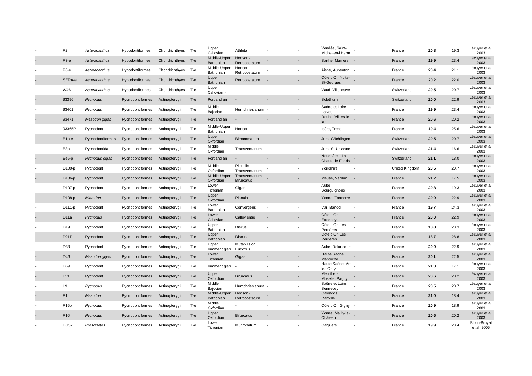| P <sub>2</sub>    | Asteracanthus    | Hybodontiformes        | Chondrichthyes T-e |       | Upper<br>Callovian        | Athleta                              |  | Vendée, Saint-<br>Michel-en-l'Herm | France         | 20.8 | 19.3 | Lécuyer et al<br>2003               |
|-------------------|------------------|------------------------|--------------------|-------|---------------------------|--------------------------------------|--|------------------------------------|----------------|------|------|-------------------------------------|
| $P3-e$            | Asteracanthus    | Hybodontiformes        | Chondrichthyes T-e |       | Middle-Upper<br>Bathonian | Hodsoni-<br>Retrocostatum            |  | Sarthe, Mamers                     | France         | 19.9 | 23.4 | Lécuyer et al.<br>2003              |
| <b>Р6-е</b>       | Asteracanthus    | Hybodontiformes        | Chondrichthyes T-e |       | Middle-Upper<br>Bathonian | Hodsoni-<br>Retrocostatum            |  | Aisne, Aubenton                    | France         | 20.4 | 21.1 | Lécuyer et al.<br>2003              |
| SERA-e            | Asteracanthus    | <b>Hybodontiformes</b> | Chondrichthyes T-e |       | Upper<br>Bathonian        | Retrocostatum                        |  | Côte d'Or, Nuits-<br>St-Georges    | France         | 20.2 | 22.0 | Lécuyer et al.<br>2003              |
| W46               | Asteracanthus    | Hybodontiformes        | Chondrichthyes T-e |       | Upper<br>Callovian        |                                      |  | Vaud, Villeneuve -                 | Switzerland    | 20.5 | 20.7 | Lécuyer et al.<br>2003              |
| 93396             | Pycnodus         | Pycnodontiformes       | Actinopterygii     | $T-e$ | Portlandian               |                                      |  | Solothurn                          | Switzerland    | 20.0 | 22.9 | Lécuyer et al.<br>2003              |
| 93401             | Pycnodus         | Pycnodontiformes       | Actinopterygii     | T-e   | Middle<br>Bajocian        | Humphriesianum -                     |  | Saône et Loire,<br>Laives          | France         | 19.9 | 23.4 | Lécuyer et al<br>2003               |
| 93471             | Mesodon gigas    | Pycnodontiformes       | Actinopterygii     | $T-e$ | Portlandian               |                                      |  | Doubs, Villers-le-<br>lac          | France         | 20.6 | 20.2 | Lécuyer et al.<br>2003              |
| 93365P            | Pycnodont        | Pycnodontiformes       | Actinopterygii     | T-e   | Middle-Upper<br>Bathonian | Hodsoni                              |  | Isère, Trept                       | France         | 19.4 | 25.6 | Lécuyer et al.<br>2003              |
| B <sub>1p-e</sub> | Pycnodontiformes | Pycnodontiformes       | Actinopterygii     | $T-e$ | Upper<br>Oxfordian        | Bimammatum                           |  | Jura, Gächlingen -                 | Switzerland    | 20.5 | 20.7 | Lécuyer et al.<br>2003              |
| B3p               | Pycnodontidae    | Pycnodontiformes       | Actinopterygii     | Т-е   | Middle<br>Oxfordian       | Transversarium                       |  | Jura, St-Ursanne                   | Switzerland    | 21.4 | 16.6 | Lécuyer et al.<br>2003              |
| Be5-p             | Pycnodus gigas   | Pycnodontiformes       | Actinopterygii     | $T-e$ | Portlandian               |                                      |  | Neuchâtel, La<br>Chaux-de-Fonds    | Switzerland    | 21.1 | 18.0 | Lécuyer et al.<br>2003              |
| D100-p            | Pycnodont        | Pycnodontiformes       | Actinopterygii     | Т-е   | Middle<br>Oxfordian       | Plicatilis-<br>Transversarium        |  | Yorkshire                          | United Kingdom | 20.5 | 20.7 | Lécuyer et al.<br>2003              |
| D106-p            | Pycnodont        | Pycnodontiformes       | Actinopterygii     | $T-e$ | Middle-Upper<br>Oxfordian | Transversarium-<br><b>Bifurcatus</b> |  | Meuse, Verdun                      | France         | 21.2 | 17.5 | Lécuyer et al.<br>2003              |
| D107-p            | Pycnodont        | Pycnodontiformes       | Actinopterygii     | Т-е   | Lower<br>Tithonian        | Gigas                                |  | Aube,<br>Bourguignons              | France         | 20.8 | 19.3 | Lécuyer et al.<br>2003              |
| D108-p            | Microdon         | Pycnodontiformes       | Actinopterygii     | $T-e$ | Upper<br>Oxfordian        | Planula                              |  | Yonne, Tonnerre -                  | France         | 20.0 | 22.9 | Lécuyer et al.<br>2003              |
| D111-p            | Pycnodont        | Pycnodontiformes       | Actinopterygii     | Т-е   | Lower<br>Bathonian        | Convergens                           |  | Var, Bandol                        | France         | 19.7 | 24.3 | Lécuyer et al.<br>2003              |
| D <sub>11a</sub>  | Pycnodus         | Pycnodontiformes       | Actinopterygii     | $T-e$ | Lower<br>Callovian        | Calloviense                          |  | Côte d'Or,<br>Etrochey             | France         | 20.0 | 22.9 | Lécuyer et al.<br>2003              |
| D <sub>19</sub>   | Pycnodont        | Pycnodontiformes       | Actinopterygii     | T-e   | Upper<br>Bathonian        | <b>Discus</b>                        |  | Côte d'Or, Les<br>Perrières        | France         | 18.8 | 28.3 | Lécuyer et al.<br>2003              |
| D <sub>21</sub> P | Pycnodont        | Pycnodontiformes       | Actinopterygii     | $T-e$ | Upper<br>Bathonian        | <b>Discus</b>                        |  | Côte d'Or, Les<br>Perrières        | France         | 18.7 | 28.8 | Lécuyer et al.<br>2003              |
| D33               | Pycnodont        | Pycnodontiformes       | Actinopterygii     | Т-е   | Upper<br>Kimmeridgian     | Mutabilis or<br>Eudoxus              |  | Aube, Dolancourt -                 | France         | 20.0 | 22.9 | Lécuyer et al.<br>2003              |
| D46               | Mesodon gigas    | Pycnodontiformes       | Actinopterygii     | $T-e$ | Lower<br>Tithonian        | Gigas                                |  | Haute Saône,<br>Mantoche           | France         | 20.1 | 22.5 | Lécuyer et al.<br>2003              |
| D69               | Pycnodont        | Pycnodontiformes       | Actinopterygii     | Т-е   | Kimmeridgian              |                                      |  | Haute Saône, Arc-<br>les Gray      | France         | 21.3 | 17.1 | Lécuyer et al.<br>2003              |
| L13               | Pycnodont        | Pycnodontiformes       | Actinopterygii     | $T-e$ | Upper<br>Oxfordian        | <b>Bifurcatus</b>                    |  | Meurthe et<br>Moselle, Pagny       | France         | 20.6 | 20.2 | Lécuyer et al.<br>2003              |
| L9                | Pycnodus         | Pycnodontiformes       | Actinopterygii     | Т-е   | Middle<br>Bajocian        | Humphriesianum -                     |  | Saône et Loire,<br>Sennecey        | France         | 20.5 | 20.7 | Lécuyer et al.<br>2003              |
| P <sub>1</sub>    | Mesodon          | Pycnodontiformes       | Actinopterygii     | $T-e$ | Middle-Upper<br>Bathonian | Hodsoni-<br>Retrocostatum            |  | Calvados,<br>Ranville              | France         | 21.0 | 18.4 | Lécuyer et al.<br>2003              |
| P15p              | Pycnodus         | Pycnodontiformes       | Actinopterygii     | Т-е   | Middle<br>Oxfordian       |                                      |  | Côte d'Or, Gigny -                 | France         | 20.9 | 18.9 | Lécuyer et al.<br>2003              |
| P <sub>16</sub>   | Pycnodus         | Pycnodontiformes       | Actinopterygii     | $T-e$ | Upper<br>Oxfordian        | <b>Bifurcatus</b>                    |  | Yonne, Mailly-le-<br>Château       | France         | 20.6 | 20.2 | Lécuyer et al.<br>2003              |
| <b>BG32</b>       | Proscinetes      | Pycnodontiformes       | Actinopterygii     | T-e   | Lower<br>Tithonian        | Mucronatum                           |  | Canjuers                           | France         | 19.9 | 23.4 | <b>Billon-Bruyat</b><br>et al. 2005 |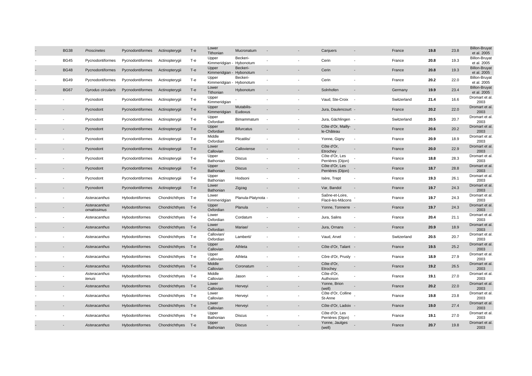| <b>BG38</b> | Proscinetes                   | Pycnodontiformes       | Actinopterygii     | T-e   | Lower<br>Tithonian                | Mucronatum              |                          | Canjuers                            |                          | France      | 19.8 | 23.8 | <b>Billon-Bruyat</b><br>et al. 2005 |
|-------------|-------------------------------|------------------------|--------------------|-------|-----------------------------------|-------------------------|--------------------------|-------------------------------------|--------------------------|-------------|------|------|-------------------------------------|
| <b>BG45</b> | Pycnodontiformes              | Pycnodontiformes       | Actinopterygii     | T-e   | Upper<br>Kimmeridgian             | Beckeri-<br>- Hybonotum |                          | Cerin                               |                          | France      | 20.8 | 19.3 | <b>Billon-Bruyat</b><br>et al. 2005 |
| <b>BG48</b> | Pycnodontiformes              | Pycnodontiformes       | Actinopterygii     | $T-e$ | Upper<br>Kimmeridgian - Hybonotum | Beckeri-                |                          | Cerin                               |                          | France      | 20.8 | 19.3 | <b>Billon-Bruyat</b><br>et al. 2005 |
| <b>BG49</b> | Pycnodontiformes              | Pycnodontiformes       | Actinopterygii     | T-e   | Upper<br>Kimmeridgian - Hybonotum | Beckeri-                |                          | Cerin                               |                          | France      | 20.2 | 22.0 | <b>Billon-Bruyat</b><br>et al. 2005 |
| <b>BG67</b> | Gyrodus circularis            | Pycnodontiformes       | Actinopterygii     | $T-e$ | Lower<br>Tithonian                | Hybonotum               |                          | Solnhofen                           |                          | Germany     | 19.9 | 23.4 | <b>Billon-Bruyat</b><br>et al. 2005 |
|             | Pycnodont                     | Pycnodontiformes       | Actinopterygii     | T-e   | Upper<br>Kimmeridgian             |                         |                          | Vaud, Ste-Croix                     |                          | Switzerland | 21.4 | 16.6 | Dromart et al<br>2003               |
|             | Pycnodont                     | Pycnodontiformes       | Actinopterygii     | $T-e$ | Upper<br>Kimmeridgian             | Mutabilis-<br>Eudoxus   |                          | Jura, Daulencourt -                 |                          | France      | 20.2 | 22.0 | Dromart et al.<br>2003              |
|             | Pycnodont                     | Pycnodontiformes       | Actinopterygii     | Т-е   | Upper<br>Oxfordian                | Bimammatum              | $\overline{\phantom{a}}$ | Jura, Gächlingen -                  |                          | Switzerland | 20.5 | 20.7 | Dromart et al.<br>2003              |
|             | Pycnodont                     | Pycnodontiformes       | Actinopterygii     | $T-e$ | Upper<br>Oxfordian                | <b>Bifurcatus</b>       |                          | Côte d'Or, Mailly-<br>le-Château    |                          | France      | 20.6 | 20.2 | Dromart et al.<br>2003              |
|             | Pycnodont                     | Pycnodontiformes       | Actinopterygii     | $T-e$ | Middle<br>Oxfordian               | Plicatilis/             |                          | Yonne, Gigny                        | $\sim$                   | France      | 20.9 | 18.9 | Dromart et al.<br>2003              |
|             | Pycnodont                     | Pycnodontiformes       | Actinopterygii     | $T-e$ | Lower<br>Callovian                | Calloviense             |                          | Côte d'Or,<br>Etrochey              |                          | France      | 20.0 | 22.9 | Dromart et al.<br>2003              |
|             | Pycnodont                     | Pycnodontiformes       | Actinopterygii     | Т-е   | Upper<br>Bathonian                | <b>Discus</b>           |                          | Côte d'Or, Les<br>Perrières (Dijon) |                          | France      | 18.8 | 28.3 | Dromart et al<br>2003               |
|             | Pycnodont                     | Pycnodontiformes       | Actinopterygii     | $T-e$ | Upper<br>Bathonian                | <b>Discus</b>           |                          | Côte d'Or, Les<br>Perrières (Dijon) |                          | France      | 18.7 | 28.8 | Dromart et al.<br>2003              |
|             | Pycnodont                     | Pycnodontiformes       | Actinopterygii     | Т-е   | Upper<br>Bathonian                | Hodsoni                 |                          | Isère, Trept                        |                          | France      | 19.3 | 26.1 | Dromart et al.<br>2003              |
|             | Pycnodont                     | Pycnodontiformes       | Actinopterygii     | $T-e$ | Lower<br>Bathonian                | Zigzag                  |                          | Var, Bandol                         | $\overline{\phantom{a}}$ | France      | 19.7 | 24.3 | Dromart et al.<br>2003              |
|             | Asteracanthus                 | <b>Hybodontiformes</b> | Chondrichthyes     | — Т-е | Lower<br>Kimmeridgian             | Planula-Platynota -     |                          | Saône-et-Loire,<br>Flacé-les-Mâcons |                          | France      | 19.7 | 24.3 | Dromart et al.<br>2003              |
|             | Asteracanthus<br>ornatissimus | Hybodontiformes        | Chondrichthyes T-e |       | Upper<br>Oxfordian                | Planula                 |                          | Yonne, Tonnerre -                   |                          | France      | 19.7 | 24.3 | Dromart et al<br>2003               |
|             | Asteracanthus                 | Hybodontiformes        | Chondrichthyes T-e |       | Lower<br>Oxfordian                | Cordatum                |                          | Jura, Salins                        |                          | France      | 20.4 | 21.1 | Dromart et al<br>2003               |
|             | Asteracanthus                 | Hybodontiformes        | Chondrichthyes T-e |       | Lower<br>Oxfordian                | Mariae/                 |                          | Jura, Ornans                        |                          | France      | 20.9 | 18.9 | Dromart et al.<br>2003              |
|             | Asteracanthus                 | Hybodontiformes        | Chondrichthyes T-e |       | Callovian/<br>Oxfordian           | Lamberti/               |                          | Vaud, Arvel                         |                          | Switzerland | 20.5 | 20.7 | Dromart et al<br>2003               |
|             | Asteracanthus                 | Hybodontiformes        | Chondrichthyes T-e |       | Upper<br>Callovian                | Athleta                 |                          | Côte d'Or, Talant -                 |                          | France      | 19.5 | 25.2 | Dromart et al.<br>2003              |
|             | Asteracanthus                 | Hybodontiformes        | Chondrichthyes T-e |       | Upper<br>Callovian                | Athleta                 |                          | Côre d'Or, Prusly -                 |                          | France      | 18.9 | 27.9 | Dromart et al.<br>2003              |
|             | Asteracanthus                 | Hybodontiformes        | Chondrichthyes T-e |       | Middle<br>Callovian               | Coronatum               |                          | Côte d'Or,<br>Etrochey              |                          | France      | 19.2 | 26.5 | Dromart et al.<br>2003              |
|             | Asteracanthus<br>tenuis       | Hybodontiformes        | Chondrichthyes T-e |       | Middle<br>Callovian               | Jason                   |                          | Côte d'Or,<br>Authoison             |                          | France      | 19.1 | 27.0 | Dromart et al<br>2003               |
|             | Asteracanthus                 | <b>Hybodontiformes</b> | Chondrichthyes T-e |       | Lower<br>Callovian                | Herveyi                 |                          | Yonne, Brion<br>(well)              |                          | France      | 20.2 | 22.0 | Dromart et al<br>2003               |
|             | Asteracanthus                 | Hybodontiformes        | Chondrichthyes     | — Т-е | Lower<br>Callovian                | Herveyi                 |                          | Côte d'Or, Colline<br>St-Anne       |                          | France      | 19.8 | 23.8 | Dromart et al<br>2003               |
|             | Asteracanthus                 | Hybodontiformes        | Chondrichthyes T-e |       | Lower<br>Callovian                | Herveyi                 |                          | Côte d'Or, Ladoix -                 |                          | France      | 19.0 | 27.4 | Dromart et al<br>2003               |
|             | Asteracanthus                 | Hybodontiformes        | Chondrichthyes     | Т-е   | Upper<br>Bathonian                | Discus                  |                          | Côte d'Or, Les<br>Perrières (Dijon) |                          | France      | 19.1 | 27.0 | Dromart et al.<br>2003              |
|             | Asteracanthus                 | Hybodontiformes        | Chondrichthyes T-e |       | Upper<br>Bathonian                | <b>Discus</b>           |                          | Yonne, Jaulges<br>(well)            |                          | France      | 20.7 | 19.8 | Dromart et al<br>2003               |